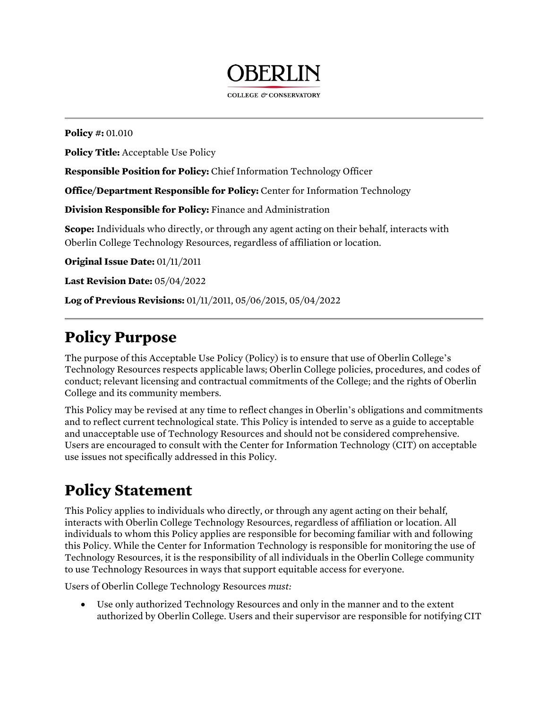

COLLEGE & CONSERVATORY

 **Policy #:** 01.010

**Policy Title:** Acceptable Use Policy

**Responsible Position for Policy:** Chief Information Technology Officer

 **Office/Department Responsible for Policy:** Center for Information Technology

 **Division Responsible for Policy:** Finance and Administration

 **Scope:** Individuals who directly, or through any agent acting on their behalf, interacts with Oberlin College Technology Resources, regardless of affiliation or location.

 **Original Issue Date:** 01/11/2011

**Last Revision Date:** 05/04/2022

 **Log of Previous Revisions:** 01/11/2011, 05/06/2015, 05/04/2022

#### **Policy Purpose**

 The purpose of this Acceptable Use Policy (Policy) is to ensure that use of Oberlin College's Technology Resources respects applicable laws; Oberlin College policies, procedures, and codes of College and its community members. conduct; relevant licensing and contractual commitments of the College; and the rights of Oberlin

 This Policy may be revised at any time to reflect changes in Oberlin's obligations and commitments and to reflect current technological state. This Policy is intended to serve as a guide to acceptable Users are encouraged to consult with the Center for Information Technology (CIT) on acceptable use issues not specifically addressed in this Policy. and unacceptable use of Technology Resources and should not be considered comprehensive.

### **Policy Statement**

 This Policy applies to individuals who directly, or through any agent acting on their behalf, this Policy. While the Center for Information Technology is responsible for monitoring the use of Technology Resources, it is the responsibility of all individuals in the Oberlin College community to use Technology Resources in ways that support equitable access for everyone. interacts with Oberlin College Technology Resources, regardless of affiliation or location. All individuals to whom this Policy applies are responsible for becoming familiar with and following

Users of Oberlin College Technology Resources *must:*

 • Use only authorized Technology Resources and only in the manner and to the extent authorized by Oberlin College. Users and their supervisor are responsible for notifying CIT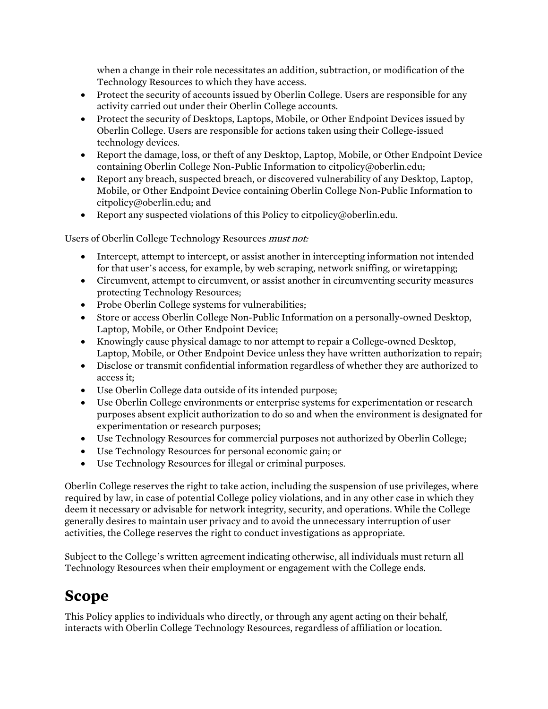when a change in their role necessitates an addition, subtraction, or modification of the Technology Resources to which they have access.

- • Protect the security of accounts issued by Oberlin College. Users are responsible for any activity carried out under their Oberlin College accounts.
- • Protect the security of Desktops, Laptops, Mobile, or Other Endpoint Devices issued by Oberlin College. Users are responsible for actions taken using their College-issued technology devices.
- • Report the damage, loss, or theft of any Desktop, Laptop, Mobile, or Other Endpoint Device containing Oberlin College Non-Public Information to [citpolicy@oberlin.edu](mailto:citpolicy@oberlin.edu);
- • Report any breach, suspected breach, or discovered vulnerability of any Desktop, Laptop, Mobile, or Other Endpoint Device containing Oberlin College Non-Public Information to [citpolicy@oberlin.edu;](mailto:citpolicy@oberlin.edu) and
- Report any suspected violations of this Policy to [citpolicy@oberlin.edu.](mailto:citpolicy@oberlin.edu)

Users of Oberlin College Technology Resources *must not:* 

- for that user's access, for example, by web scraping, network sniffing, or wiretapping; • Intercept, attempt to intercept, or assist another in intercepting information not intended
- • Circumvent, attempt to circumvent, or assist another in circumventing security measures protecting Technology Resources;
- Probe Oberlin College systems for vulnerabilities;
- Store or access Oberlin College Non-Public Information on a personally-owned Desktop, Laptop, Mobile, or Other Endpoint Device;
- • Knowingly cause physical damage to nor attempt to repair a College-owned Desktop, Laptop, Mobile, or Other Endpoint Device unless they have written authorization to repair;
- • Disclose or transmit confidential information regardless of whether they are authorized to access it;
- Use Oberlin College data outside of its intended purpose;
- • Use Oberlin College environments or enterprise systems for experimentation or research purposes absent explicit authorization to do so and when the environment is designated for experimentation or research purposes;
- Use Technology Resources for commercial purposes not authorized by Oberlin College;
- Use Technology Resources for personal economic gain; or
- Use Technology Resources for illegal or criminal purposes.

 Oberlin College reserves the right to take action, including the suspension of use privileges, where required by law, in case of potential College policy violations, and in any other case in which they deem it necessary or advisable for network integrity, security, and operations. While the College generally desires to maintain user privacy and to avoid the unnecessary interruption of user activities, the College reserves the right to conduct investigations as appropriate.

 Subject to the College's written agreement indicating otherwise, all individuals must return all Technology Resources when their employment or engagement with the College ends.

### **Scope**

 This Policy applies to individuals who directly, or through any agent acting on their behalf, interacts with Oberlin College Technology Resources, regardless of affiliation or location.